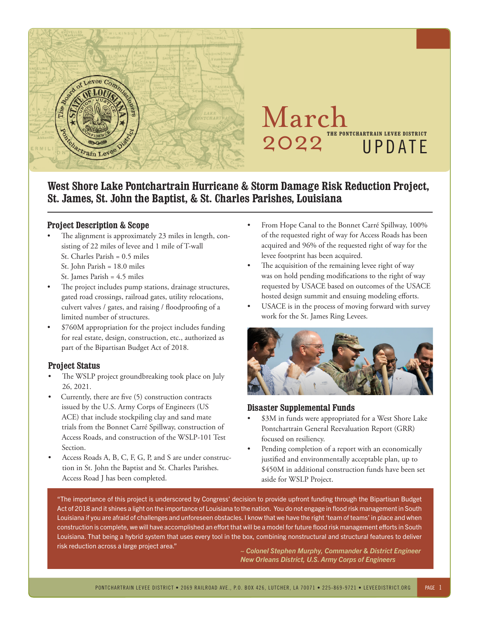

## March 2022 **THE PONTCHARTRAIN LEVEE DISTRICT** UPDATE

2019TH E PON TCHA RTRA IN LEVEE DISTRICT

#### **West Shore Lake Pontchartrain Hurricane & Storm Damage Risk Reduction Project, St. James, St. John the Baptist, & St. Charles Parishes, Louisiana**

#### **Project Description & Scope**

- The alignment is approximately 23 miles in length, consisting of 22 miles of levee and 1 mile of T-wall
	- St. Charles Parish = 0.5 miles
	- St. John Parish = 18.0 miles
	- St. James Parish = 4.5 miles
- The project includes pump stations, drainage structures, gated road crossings, railroad gates, utility relocations, culvert valves / gates, and raising / floodproofing of a limited number of structures.
- \$760M appropriation for the project includes funding for real estate, design, construction, etc., authorized as part of the Bipartisan Budget Act of 2018.

#### **Project Status**

- The WSLP project groundbreaking took place on July 26, 2021.
- Currently, there are five (5) construction contracts issued by the U.S. Army Corps of Engineers (US ACE) that include stockpiling clay and sand mate trials from the Bonnet Carré Spillway, construction of Access Roads, and construction of the WSLP-101 Test Section.
- Access Roads A, B, C, F, G, P, and S are under construction in St. John the Baptist and St. Charles Parishes. Access Road J has been completed.
- From Hope Canal to the Bonnet Carré Spillway, 100% of the requested right of way for Access Roads has been acquired and 96% of the requested right of way for the levee footprint has been acquired.
- The acquisition of the remaining levee right of way was on hold pending modifications to the right of way requested by USACE based on outcomes of the USACE hosted design summit and ensuing modeling efforts.
- USACE is in the process of moving forward with survey work for the St. James Ring Levees.



#### **Disaster Supplemental Funds**

- \$3M in funds were appropriated for a West Shore Lake Pontchartrain General Reevaluation Report (GRR) focused on resiliency.
- Pending completion of a report with an economically justified and environmentally acceptable plan, up to \$450M in additional construction funds have been set aside for WSLP Project.

"The importance of this project is underscored by Congress' decision to provide upfront funding through the Bipartisan Budget Act of 2018 and it shines a light on the importance of Louisiana to the nation. You do not engage in flood risk management in South Louisiana if you are afraid of challenges and unforeseen obstacles. I know that we have the right 'team of teams' in place and when construction is complete, we will have accomplished an effort that will be a model for future flood risk management efforts in South Louisiana. That being a hybrid system that uses every tool in the box, combining nonstructural and structural features to deliver risk reduction across a large project area."

*~ Colonel Stephen Murphy, Commander & District Engineer New Orleans District, U.S. Army Corps of Engineers*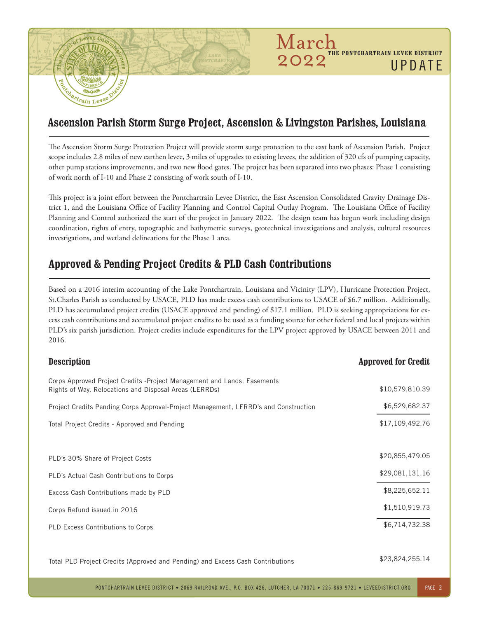# Partrain Levee

## **Ascension Parish Storm Surge Project, Ascension & Livingston Parishes, Louisiana**

March<br>2022"

**THE PONTCHARTRAIN LEVEE DISTRICT** 

UPDATE

The Ascension Storm Surge Protection Project will provide storm surge protection to the east bank of Ascension Parish. Project scope includes 2.8 miles of new earthen levee, 3 miles of upgrades to existing levees, the addition of 320 cfs of pumping capacity, other pump stations improvements, and two new flood gates. The project has been separated into two phases: Phase 1 consisting of work north of I-10 and Phase 2 consisting of work south of I-10.

This project is a joint effort between the Pontchartrain Levee District, the East Ascension Consolidated Gravity Drainage District 1, and the Louisiana Office of Facility Planning and Control Capital Outlay Program. The Louisiana Office of Facility Planning and Control authorized the start of the project in January 2022. The design team has begun work including design coordination, rights of entry, topographic and bathymetric surveys, geotechnical investigations and analysis, cultural resources investigations, and wetland delineations for the Phase 1 area.

### **Approved & Pending Project Credits & PLD Cash Contributions**

Based on a 2016 interim accounting of the Lake Pontchartrain, Louisiana and Vicinity (LPV), Hurricane Protection Project, St.Charles Parish as conducted by USACE, PLD has made excess cash contributions to USACE of \$6.7 million. Additionally, PLD has accumulated project credits (USACE approved and pending) of \$17.1 million. PLD is seeking appropriations for excess cash contributions and accumulated project credits to be used as a funding source for other federal and local projects within PLD's six parish jurisdiction. Project credits include expenditures for the LPV project approved by USACE between 2011 and 2016.

| <b>Description</b>                                                                                                                 | <b>Approved for Credit</b> |
|------------------------------------------------------------------------------------------------------------------------------------|----------------------------|
| Corps Approved Project Credits - Project Management and Lands, Easements<br>Rights of Way, Relocations and Disposal Areas (LERRDs) | \$10,579,810.39            |
| Project Credits Pending Corps Approval-Project Management, LERRD's and Construction                                                | \$6,529,682.37             |
| Total Project Credits - Approved and Pending                                                                                       | \$17,109,492.76            |
|                                                                                                                                    |                            |
| PLD's 30% Share of Project Costs                                                                                                   | \$20,855,479.05            |
| PLD's Actual Cash Contributions to Corps                                                                                           | \$29,081,131.16            |
| Excess Cash Contributions made by PLD                                                                                              | \$8,225,652.11             |
| Corps Refund issued in 2016                                                                                                        | \$1,510,919.73             |
| PLD Excess Contributions to Corps                                                                                                  | \$6,714,732.38             |
|                                                                                                                                    |                            |

Total PLD Project Credits (Approved and Pending) and Excess Cash Contributions

\$23,824,255.14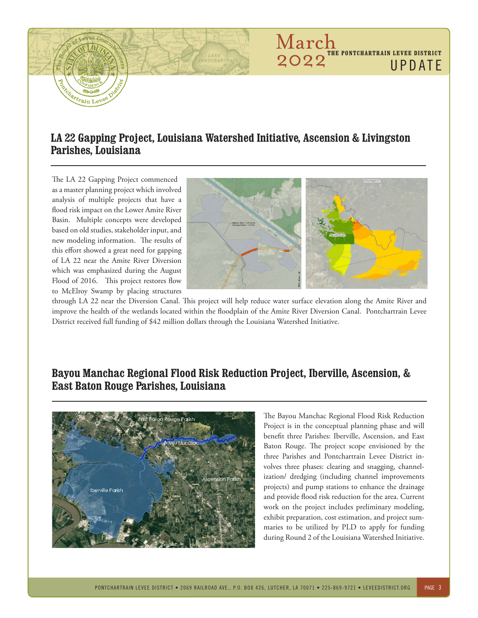

## **LA 22 Gapping Project, Louisiana Watershed Initiative, Ascension & Livingston Parishes, Louisiana**

The LA 22 Gapping Project commenced as a master planning project which involved analysis of multiple projects that have a flood risk impact on the Lower Amite River Basin. Multiple concepts were developed based on old studies, stakeholder input, and new modeling information. The results of this effort showed a great need for gapping of LA 22 near the Amite River Diversion which was emphasized during the August Flood of 2016. This project restores flow to McElroy Swamp by placing structures



through LA 22 near the Diversion Canal. This project will help reduce water surface elevation along the Amite River and improve the health of the wetlands located within the floodplain of the Amite River Diversion Canal. Pontchartrain Levee District received full funding of \$42 million dollars through the Louisiana Watershed Initiative.

#### **Bayou Manchac Regional Flood Risk Reduction Project, Iberville, Ascension, & East Baton Rouge Parishes, Louisiana**



The Bayou Manchac Regional Flood Risk Reduction Project is in the conceptual planning phase and will benefit three Parishes: Iberville, Ascension, and East Baton Rouge. The project scope envisioned by the three Parishes and Pontchartrain Levee District involves three phases: clearing and snagging, channelization/ dredging (including channel improvements projects) and pump stations to enhance the drainage and provide flood risk reduction for the area. Current work on the project includes preliminary modeling, exhibit preparation, cost estimation, and project summaries to be utilized by PLD to apply for funding during Round 2 of the Louisiana Watershed Initiative.